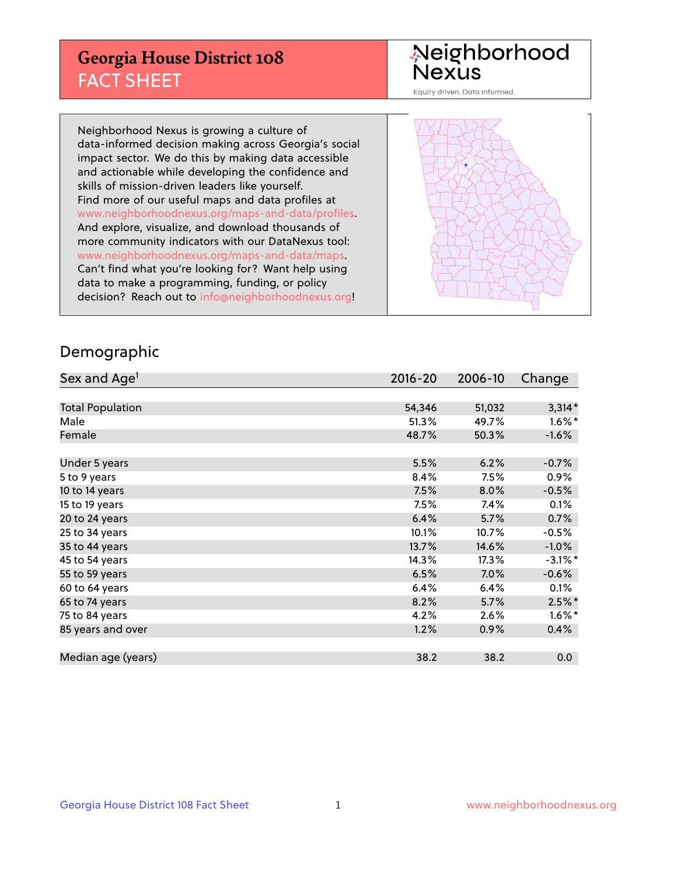## **Georgia House District 108** FACT SHEET

# Neighborhood<br>Nexus

Equity driven. Data informed.

Neighborhood Nexus is growing a culture of data-informed decision making across Georgia's social impact sector. We do this by making data accessible and actionable while developing the confidence and skills of mission-driven leaders like yourself. Find more of our useful maps and data profiles at www.neighborhoodnexus.org/maps-and-data/profiles. And explore, visualize, and download thousands of more community indicators with our DataNexus tool: www.neighborhoodnexus.org/maps-and-data/maps. Can't find what you're looking for? Want help using data to make a programming, funding, or policy decision? Reach out to [info@neighborhoodnexus.org!](mailto:info@neighborhoodnexus.org)



### Demographic

| Sex and Age <sup>1</sup> | $2016 - 20$ | 2006-10 | Change     |
|--------------------------|-------------|---------|------------|
|                          |             |         |            |
| <b>Total Population</b>  | 54,346      | 51,032  | $3,314*$   |
| Male                     | 51.3%       | 49.7%   | $1.6\%$ *  |
| Female                   | 48.7%       | 50.3%   | $-1.6%$    |
|                          |             |         |            |
| Under 5 years            | 5.5%        | 6.2%    | $-0.7%$    |
| 5 to 9 years             | 8.4%        | 7.5%    | $0.9\%$    |
| 10 to 14 years           | 7.5%        | 8.0%    | $-0.5%$    |
| 15 to 19 years           | 7.5%        | 7.4%    | 0.1%       |
| 20 to 24 years           | 6.4%        | 5.7%    | 0.7%       |
| 25 to 34 years           | 10.1%       | 10.7%   | $-0.5\%$   |
| 35 to 44 years           | 13.7%       | 14.6%   | $-1.0%$    |
| 45 to 54 years           | 14.3%       | 17.3%   | $-3.1\%$ * |
| 55 to 59 years           | 6.5%        | 7.0%    | $-0.6%$    |
| 60 to 64 years           | 6.4%        | 6.4%    | 0.1%       |
| 65 to 74 years           | 8.2%        | 5.7%    | $2.5\%$ *  |
| 75 to 84 years           | 4.2%        | 2.6%    | $1.6\%$ *  |
| 85 years and over        | 1.2%        | 0.9%    | 0.4%       |
|                          |             |         |            |
| Median age (years)       | 38.2        | 38.2    | 0.0        |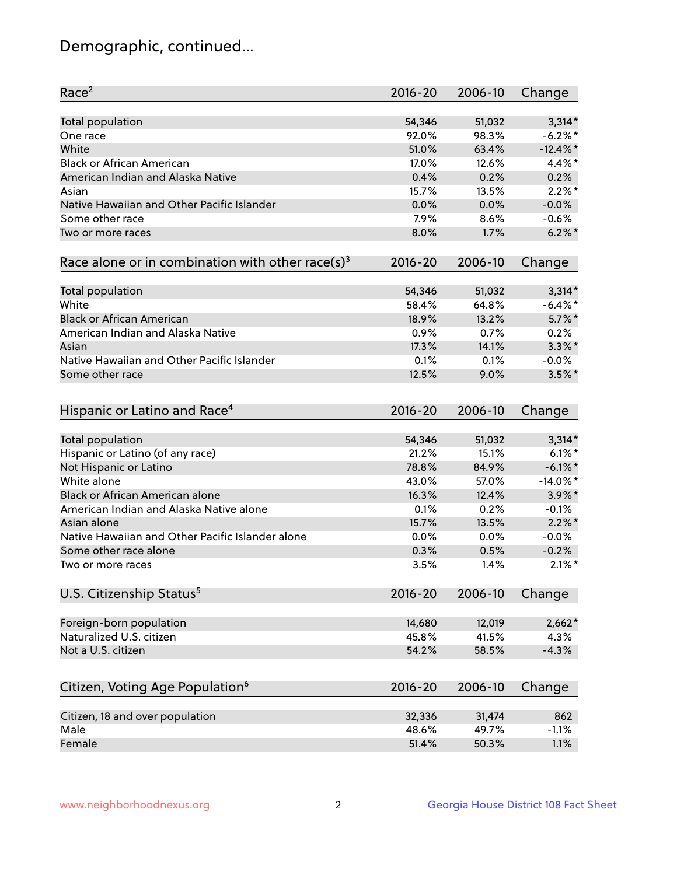## Demographic, continued...

| <b>Total population</b><br>$3,314*$<br>54,346<br>51,032<br>$-6.2%$<br>92.0%<br>98.3%<br>One race<br>White<br>51.0%<br>$-12.4\%$ *<br>63.4%<br><b>Black or African American</b><br>4.4%*<br>17.0%<br>12.6%<br>American Indian and Alaska Native<br>0.2%<br>0.4%<br>0.2%<br>$2.2\%$ *<br>15.7%<br>13.5%<br>Asian<br>Native Hawaiian and Other Pacific Islander<br>0.0%<br>0.0%<br>$-0.0%$<br>Some other race<br>$-0.6%$<br>7.9%<br>8.6%<br>$6.2\%$<br>8.0%<br>1.7%<br>Two or more races<br>Race alone or in combination with other race(s) <sup>3</sup><br>$2016 - 20$<br>2006-10<br>Change<br>$3,314*$<br>Total population<br>54,346<br>51,032<br>White<br>64.8%<br>$-6.4\%$ *<br>58.4%<br><b>Black or African American</b><br>$5.7\%$ *<br>18.9%<br>13.2%<br>American Indian and Alaska Native<br>0.9%<br>0.2%<br>0.7%<br>$3.3\%$ *<br>17.3%<br>14.1%<br>Asian<br>Native Hawaiian and Other Pacific Islander<br>0.1%<br>0.1%<br>$-0.0%$<br>$3.5\%$ *<br>Some other race<br>12.5%<br>9.0%<br>Hispanic or Latino and Race <sup>4</sup><br>$2016 - 20$<br>2006-10<br>Change<br><b>Total population</b><br>51,032<br>$3,314*$<br>54,346<br>Hispanic or Latino (of any race)<br>21.2%<br>$6.1\%$ *<br>15.1%<br>78.8%<br>$-6.1\%$ *<br>Not Hispanic or Latino<br>84.9%<br>White alone<br>$-14.0\%$ *<br>43.0%<br>57.0%<br>Black or African American alone<br>16.3%<br>3.9%*<br>12.4%<br>American Indian and Alaska Native alone<br>0.1%<br>0.2%<br>$-0.1%$<br>$2.2\%$ *<br>Asian alone<br>15.7%<br>13.5%<br>Native Hawaiian and Other Pacific Islander alone<br>0.0%<br>0.0%<br>$-0.0%$<br>$-0.2%$<br>Some other race alone<br>0.3%<br>0.5%<br>$2.1\%$ *<br>3.5%<br>1.4%<br>Two or more races<br>U.S. Citizenship Status <sup>5</sup><br>2016-20<br>2006-10<br>Change<br>Foreign-born population<br>$2,662*$<br>14,680<br>12,019<br>Naturalized U.S. citizen<br>4.3%<br>45.8%<br>41.5%<br>Not a U.S. citizen<br>$-4.3%$<br>54.2%<br>58.5%<br>Citizen, Voting Age Population <sup>6</sup><br>2006-10<br>Change<br>2016-20<br>Citizen, 18 and over population<br>862<br>32,336<br>31,474<br>Male<br>48.6%<br>49.7%<br>$-1.1%$ | Race <sup>2</sup> | $2016 - 20$ | 2006-10 | Change |
|-----------------------------------------------------------------------------------------------------------------------------------------------------------------------------------------------------------------------------------------------------------------------------------------------------------------------------------------------------------------------------------------------------------------------------------------------------------------------------------------------------------------------------------------------------------------------------------------------------------------------------------------------------------------------------------------------------------------------------------------------------------------------------------------------------------------------------------------------------------------------------------------------------------------------------------------------------------------------------------------------------------------------------------------------------------------------------------------------------------------------------------------------------------------------------------------------------------------------------------------------------------------------------------------------------------------------------------------------------------------------------------------------------------------------------------------------------------------------------------------------------------------------------------------------------------------------------------------------------------------------------------------------------------------------------------------------------------------------------------------------------------------------------------------------------------------------------------------------------------------------------------------------------------------------------------------------------------------------------------------------------------------------------------------------------------------------------------------------------------------------|-------------------|-------------|---------|--------|
|                                                                                                                                                                                                                                                                                                                                                                                                                                                                                                                                                                                                                                                                                                                                                                                                                                                                                                                                                                                                                                                                                                                                                                                                                                                                                                                                                                                                                                                                                                                                                                                                                                                                                                                                                                                                                                                                                                                                                                                                                                                                                                                       |                   |             |         |        |
|                                                                                                                                                                                                                                                                                                                                                                                                                                                                                                                                                                                                                                                                                                                                                                                                                                                                                                                                                                                                                                                                                                                                                                                                                                                                                                                                                                                                                                                                                                                                                                                                                                                                                                                                                                                                                                                                                                                                                                                                                                                                                                                       |                   |             |         |        |
|                                                                                                                                                                                                                                                                                                                                                                                                                                                                                                                                                                                                                                                                                                                                                                                                                                                                                                                                                                                                                                                                                                                                                                                                                                                                                                                                                                                                                                                                                                                                                                                                                                                                                                                                                                                                                                                                                                                                                                                                                                                                                                                       |                   |             |         |        |
|                                                                                                                                                                                                                                                                                                                                                                                                                                                                                                                                                                                                                                                                                                                                                                                                                                                                                                                                                                                                                                                                                                                                                                                                                                                                                                                                                                                                                                                                                                                                                                                                                                                                                                                                                                                                                                                                                                                                                                                                                                                                                                                       |                   |             |         |        |
|                                                                                                                                                                                                                                                                                                                                                                                                                                                                                                                                                                                                                                                                                                                                                                                                                                                                                                                                                                                                                                                                                                                                                                                                                                                                                                                                                                                                                                                                                                                                                                                                                                                                                                                                                                                                                                                                                                                                                                                                                                                                                                                       |                   |             |         |        |
|                                                                                                                                                                                                                                                                                                                                                                                                                                                                                                                                                                                                                                                                                                                                                                                                                                                                                                                                                                                                                                                                                                                                                                                                                                                                                                                                                                                                                                                                                                                                                                                                                                                                                                                                                                                                                                                                                                                                                                                                                                                                                                                       |                   |             |         |        |
|                                                                                                                                                                                                                                                                                                                                                                                                                                                                                                                                                                                                                                                                                                                                                                                                                                                                                                                                                                                                                                                                                                                                                                                                                                                                                                                                                                                                                                                                                                                                                                                                                                                                                                                                                                                                                                                                                                                                                                                                                                                                                                                       |                   |             |         |        |
|                                                                                                                                                                                                                                                                                                                                                                                                                                                                                                                                                                                                                                                                                                                                                                                                                                                                                                                                                                                                                                                                                                                                                                                                                                                                                                                                                                                                                                                                                                                                                                                                                                                                                                                                                                                                                                                                                                                                                                                                                                                                                                                       |                   |             |         |        |
|                                                                                                                                                                                                                                                                                                                                                                                                                                                                                                                                                                                                                                                                                                                                                                                                                                                                                                                                                                                                                                                                                                                                                                                                                                                                                                                                                                                                                                                                                                                                                                                                                                                                                                                                                                                                                                                                                                                                                                                                                                                                                                                       |                   |             |         |        |
|                                                                                                                                                                                                                                                                                                                                                                                                                                                                                                                                                                                                                                                                                                                                                                                                                                                                                                                                                                                                                                                                                                                                                                                                                                                                                                                                                                                                                                                                                                                                                                                                                                                                                                                                                                                                                                                                                                                                                                                                                                                                                                                       |                   |             |         |        |
|                                                                                                                                                                                                                                                                                                                                                                                                                                                                                                                                                                                                                                                                                                                                                                                                                                                                                                                                                                                                                                                                                                                                                                                                                                                                                                                                                                                                                                                                                                                                                                                                                                                                                                                                                                                                                                                                                                                                                                                                                                                                                                                       |                   |             |         |        |
|                                                                                                                                                                                                                                                                                                                                                                                                                                                                                                                                                                                                                                                                                                                                                                                                                                                                                                                                                                                                                                                                                                                                                                                                                                                                                                                                                                                                                                                                                                                                                                                                                                                                                                                                                                                                                                                                                                                                                                                                                                                                                                                       |                   |             |         |        |
|                                                                                                                                                                                                                                                                                                                                                                                                                                                                                                                                                                                                                                                                                                                                                                                                                                                                                                                                                                                                                                                                                                                                                                                                                                                                                                                                                                                                                                                                                                                                                                                                                                                                                                                                                                                                                                                                                                                                                                                                                                                                                                                       |                   |             |         |        |
|                                                                                                                                                                                                                                                                                                                                                                                                                                                                                                                                                                                                                                                                                                                                                                                                                                                                                                                                                                                                                                                                                                                                                                                                                                                                                                                                                                                                                                                                                                                                                                                                                                                                                                                                                                                                                                                                                                                                                                                                                                                                                                                       |                   |             |         |        |
|                                                                                                                                                                                                                                                                                                                                                                                                                                                                                                                                                                                                                                                                                                                                                                                                                                                                                                                                                                                                                                                                                                                                                                                                                                                                                                                                                                                                                                                                                                                                                                                                                                                                                                                                                                                                                                                                                                                                                                                                                                                                                                                       |                   |             |         |        |
|                                                                                                                                                                                                                                                                                                                                                                                                                                                                                                                                                                                                                                                                                                                                                                                                                                                                                                                                                                                                                                                                                                                                                                                                                                                                                                                                                                                                                                                                                                                                                                                                                                                                                                                                                                                                                                                                                                                                                                                                                                                                                                                       |                   |             |         |        |
|                                                                                                                                                                                                                                                                                                                                                                                                                                                                                                                                                                                                                                                                                                                                                                                                                                                                                                                                                                                                                                                                                                                                                                                                                                                                                                                                                                                                                                                                                                                                                                                                                                                                                                                                                                                                                                                                                                                                                                                                                                                                                                                       |                   |             |         |        |
|                                                                                                                                                                                                                                                                                                                                                                                                                                                                                                                                                                                                                                                                                                                                                                                                                                                                                                                                                                                                                                                                                                                                                                                                                                                                                                                                                                                                                                                                                                                                                                                                                                                                                                                                                                                                                                                                                                                                                                                                                                                                                                                       |                   |             |         |        |
|                                                                                                                                                                                                                                                                                                                                                                                                                                                                                                                                                                                                                                                                                                                                                                                                                                                                                                                                                                                                                                                                                                                                                                                                                                                                                                                                                                                                                                                                                                                                                                                                                                                                                                                                                                                                                                                                                                                                                                                                                                                                                                                       |                   |             |         |        |
|                                                                                                                                                                                                                                                                                                                                                                                                                                                                                                                                                                                                                                                                                                                                                                                                                                                                                                                                                                                                                                                                                                                                                                                                                                                                                                                                                                                                                                                                                                                                                                                                                                                                                                                                                                                                                                                                                                                                                                                                                                                                                                                       |                   |             |         |        |
|                                                                                                                                                                                                                                                                                                                                                                                                                                                                                                                                                                                                                                                                                                                                                                                                                                                                                                                                                                                                                                                                                                                                                                                                                                                                                                                                                                                                                                                                                                                                                                                                                                                                                                                                                                                                                                                                                                                                                                                                                                                                                                                       |                   |             |         |        |
|                                                                                                                                                                                                                                                                                                                                                                                                                                                                                                                                                                                                                                                                                                                                                                                                                                                                                                                                                                                                                                                                                                                                                                                                                                                                                                                                                                                                                                                                                                                                                                                                                                                                                                                                                                                                                                                                                                                                                                                                                                                                                                                       |                   |             |         |        |
|                                                                                                                                                                                                                                                                                                                                                                                                                                                                                                                                                                                                                                                                                                                                                                                                                                                                                                                                                                                                                                                                                                                                                                                                                                                                                                                                                                                                                                                                                                                                                                                                                                                                                                                                                                                                                                                                                                                                                                                                                                                                                                                       |                   |             |         |        |
|                                                                                                                                                                                                                                                                                                                                                                                                                                                                                                                                                                                                                                                                                                                                                                                                                                                                                                                                                                                                                                                                                                                                                                                                                                                                                                                                                                                                                                                                                                                                                                                                                                                                                                                                                                                                                                                                                                                                                                                                                                                                                                                       |                   |             |         |        |
|                                                                                                                                                                                                                                                                                                                                                                                                                                                                                                                                                                                                                                                                                                                                                                                                                                                                                                                                                                                                                                                                                                                                                                                                                                                                                                                                                                                                                                                                                                                                                                                                                                                                                                                                                                                                                                                                                                                                                                                                                                                                                                                       |                   |             |         |        |
|                                                                                                                                                                                                                                                                                                                                                                                                                                                                                                                                                                                                                                                                                                                                                                                                                                                                                                                                                                                                                                                                                                                                                                                                                                                                                                                                                                                                                                                                                                                                                                                                                                                                                                                                                                                                                                                                                                                                                                                                                                                                                                                       |                   |             |         |        |
|                                                                                                                                                                                                                                                                                                                                                                                                                                                                                                                                                                                                                                                                                                                                                                                                                                                                                                                                                                                                                                                                                                                                                                                                                                                                                                                                                                                                                                                                                                                                                                                                                                                                                                                                                                                                                                                                                                                                                                                                                                                                                                                       |                   |             |         |        |
|                                                                                                                                                                                                                                                                                                                                                                                                                                                                                                                                                                                                                                                                                                                                                                                                                                                                                                                                                                                                                                                                                                                                                                                                                                                                                                                                                                                                                                                                                                                                                                                                                                                                                                                                                                                                                                                                                                                                                                                                                                                                                                                       |                   |             |         |        |
|                                                                                                                                                                                                                                                                                                                                                                                                                                                                                                                                                                                                                                                                                                                                                                                                                                                                                                                                                                                                                                                                                                                                                                                                                                                                                                                                                                                                                                                                                                                                                                                                                                                                                                                                                                                                                                                                                                                                                                                                                                                                                                                       |                   |             |         |        |
|                                                                                                                                                                                                                                                                                                                                                                                                                                                                                                                                                                                                                                                                                                                                                                                                                                                                                                                                                                                                                                                                                                                                                                                                                                                                                                                                                                                                                                                                                                                                                                                                                                                                                                                                                                                                                                                                                                                                                                                                                                                                                                                       |                   |             |         |        |
|                                                                                                                                                                                                                                                                                                                                                                                                                                                                                                                                                                                                                                                                                                                                                                                                                                                                                                                                                                                                                                                                                                                                                                                                                                                                                                                                                                                                                                                                                                                                                                                                                                                                                                                                                                                                                                                                                                                                                                                                                                                                                                                       |                   |             |         |        |
|                                                                                                                                                                                                                                                                                                                                                                                                                                                                                                                                                                                                                                                                                                                                                                                                                                                                                                                                                                                                                                                                                                                                                                                                                                                                                                                                                                                                                                                                                                                                                                                                                                                                                                                                                                                                                                                                                                                                                                                                                                                                                                                       |                   |             |         |        |
|                                                                                                                                                                                                                                                                                                                                                                                                                                                                                                                                                                                                                                                                                                                                                                                                                                                                                                                                                                                                                                                                                                                                                                                                                                                                                                                                                                                                                                                                                                                                                                                                                                                                                                                                                                                                                                                                                                                                                                                                                                                                                                                       |                   |             |         |        |
|                                                                                                                                                                                                                                                                                                                                                                                                                                                                                                                                                                                                                                                                                                                                                                                                                                                                                                                                                                                                                                                                                                                                                                                                                                                                                                                                                                                                                                                                                                                                                                                                                                                                                                                                                                                                                                                                                                                                                                                                                                                                                                                       |                   |             |         |        |
|                                                                                                                                                                                                                                                                                                                                                                                                                                                                                                                                                                                                                                                                                                                                                                                                                                                                                                                                                                                                                                                                                                                                                                                                                                                                                                                                                                                                                                                                                                                                                                                                                                                                                                                                                                                                                                                                                                                                                                                                                                                                                                                       |                   |             |         |        |
|                                                                                                                                                                                                                                                                                                                                                                                                                                                                                                                                                                                                                                                                                                                                                                                                                                                                                                                                                                                                                                                                                                                                                                                                                                                                                                                                                                                                                                                                                                                                                                                                                                                                                                                                                                                                                                                                                                                                                                                                                                                                                                                       |                   |             |         |        |
|                                                                                                                                                                                                                                                                                                                                                                                                                                                                                                                                                                                                                                                                                                                                                                                                                                                                                                                                                                                                                                                                                                                                                                                                                                                                                                                                                                                                                                                                                                                                                                                                                                                                                                                                                                                                                                                                                                                                                                                                                                                                                                                       |                   |             |         |        |
|                                                                                                                                                                                                                                                                                                                                                                                                                                                                                                                                                                                                                                                                                                                                                                                                                                                                                                                                                                                                                                                                                                                                                                                                                                                                                                                                                                                                                                                                                                                                                                                                                                                                                                                                                                                                                                                                                                                                                                                                                                                                                                                       | Female            | 51.4%       | 50.3%   | 1.1%   |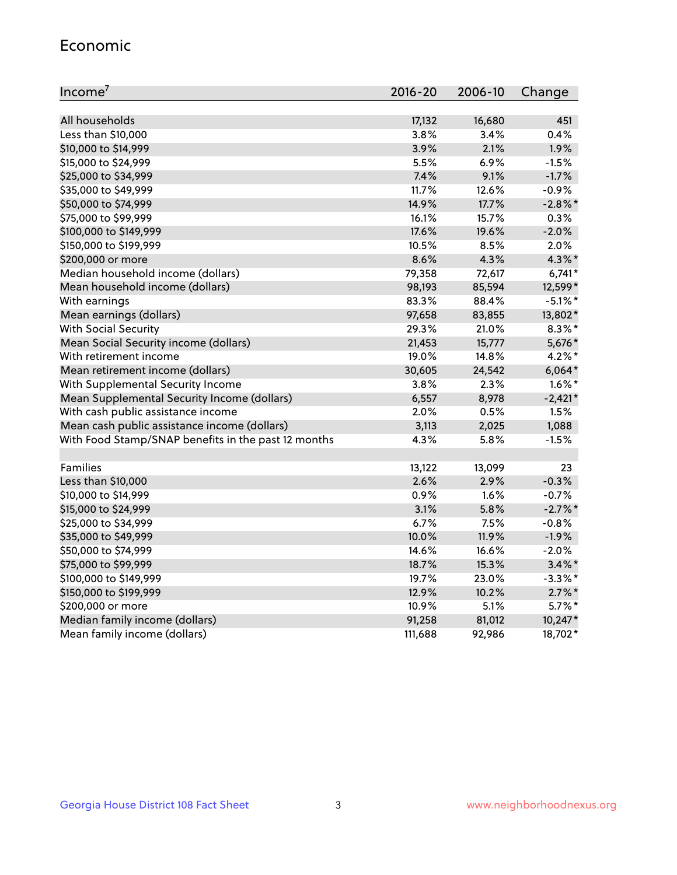#### Economic

| Income <sup>7</sup>                                 | $2016 - 20$ | 2006-10 | Change     |
|-----------------------------------------------------|-------------|---------|------------|
|                                                     |             |         |            |
| All households                                      | 17,132      | 16,680  | 451        |
| Less than \$10,000                                  | 3.8%        | 3.4%    | 0.4%       |
| \$10,000 to \$14,999                                | 3.9%        | 2.1%    | 1.9%       |
| \$15,000 to \$24,999                                | 5.5%        | 6.9%    | $-1.5%$    |
| \$25,000 to \$34,999                                | 7.4%        | 9.1%    | $-1.7%$    |
| \$35,000 to \$49,999                                | 11.7%       | 12.6%   | $-0.9%$    |
| \$50,000 to \$74,999                                | 14.9%       | 17.7%   | $-2.8\%$ * |
| \$75,000 to \$99,999                                | 16.1%       | 15.7%   | 0.3%       |
| \$100,000 to \$149,999                              | 17.6%       | 19.6%   | $-2.0%$    |
| \$150,000 to \$199,999                              | 10.5%       | 8.5%    | 2.0%       |
| \$200,000 or more                                   | 8.6%        | 4.3%    | $4.3\%$ *  |
| Median household income (dollars)                   | 79,358      | 72,617  | $6,741*$   |
| Mean household income (dollars)                     | 98,193      | 85,594  | 12,599*    |
| With earnings                                       | 83.3%       | 88.4%   | $-5.1\%$ * |
| Mean earnings (dollars)                             | 97,658      | 83,855  | 13,802*    |
| <b>With Social Security</b>                         | 29.3%       | 21.0%   | $8.3\%$ *  |
| Mean Social Security income (dollars)               | 21,453      | 15,777  | 5,676*     |
| With retirement income                              | 19.0%       | 14.8%   | $4.2\%$ *  |
| Mean retirement income (dollars)                    | 30,605      | 24,542  | $6,064*$   |
| With Supplemental Security Income                   | 3.8%        | 2.3%    | $1.6\%$ *  |
| Mean Supplemental Security Income (dollars)         | 6,557       | 8,978   | $-2,421*$  |
| With cash public assistance income                  | 2.0%        | 0.5%    | 1.5%       |
| Mean cash public assistance income (dollars)        | 3,113       | 2,025   | 1,088      |
| With Food Stamp/SNAP benefits in the past 12 months | 4.3%        | 5.8%    | $-1.5%$    |
|                                                     |             |         |            |
| Families                                            | 13,122      | 13,099  | 23         |
| Less than \$10,000                                  | 2.6%        | 2.9%    | $-0.3%$    |
| \$10,000 to \$14,999                                | 0.9%        | 1.6%    | $-0.7%$    |
| \$15,000 to \$24,999                                | 3.1%        | 5.8%    | $-2.7%$    |
| \$25,000 to \$34,999                                | 6.7%        | 7.5%    | $-0.8%$    |
| \$35,000 to \$49,999                                | 10.0%       | 11.9%   | $-1.9%$    |
| \$50,000 to \$74,999                                | 14.6%       | 16.6%   | $-2.0%$    |
| \$75,000 to \$99,999                                | 18.7%       | 15.3%   | $3.4\%$ *  |
| \$100,000 to \$149,999                              | 19.7%       | 23.0%   | $-3.3\%$ * |
| \$150,000 to \$199,999                              | 12.9%       | 10.2%   | $2.7\%$ *  |
| \$200,000 or more                                   | 10.9%       | 5.1%    | $5.7\%$ *  |
| Median family income (dollars)                      | 91,258      | 81,012  | 10,247*    |
| Mean family income (dollars)                        | 111,688     | 92,986  | 18,702*    |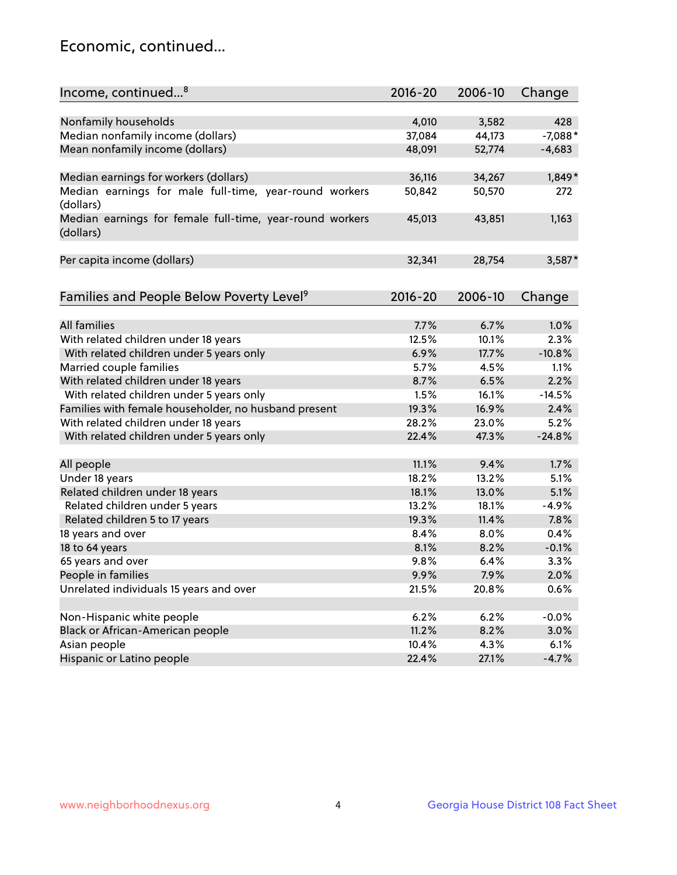## Economic, continued...

| Income, continued <sup>8</sup>                           | $2016 - 20$ | 2006-10 | Change    |
|----------------------------------------------------------|-------------|---------|-----------|
|                                                          |             |         |           |
| Nonfamily households                                     | 4,010       | 3,582   | 428       |
| Median nonfamily income (dollars)                        | 37,084      | 44,173  | $-7,088*$ |
| Mean nonfamily income (dollars)                          | 48,091      | 52,774  | $-4,683$  |
|                                                          |             |         |           |
| Median earnings for workers (dollars)                    | 36,116      | 34,267  | 1,849*    |
| Median earnings for male full-time, year-round workers   | 50,842      | 50,570  | 272       |
| (dollars)                                                |             |         |           |
| Median earnings for female full-time, year-round workers | 45,013      | 43,851  | 1,163     |
| (dollars)                                                |             |         |           |
|                                                          |             |         |           |
| Per capita income (dollars)                              | 32,341      | 28,754  | 3,587*    |
|                                                          |             |         |           |
| Families and People Below Poverty Level <sup>9</sup>     | $2016 - 20$ | 2006-10 | Change    |
|                                                          |             |         |           |
| <b>All families</b>                                      | 7.7%        | 6.7%    | 1.0%      |
| With related children under 18 years                     | 12.5%       | 10.1%   | 2.3%      |
| With related children under 5 years only                 | 6.9%        | 17.7%   | $-10.8%$  |
| Married couple families                                  | 5.7%        | 4.5%    | 1.1%      |
| With related children under 18 years                     | 8.7%        | 6.5%    | 2.2%      |
| With related children under 5 years only                 | 1.5%        | 16.1%   | $-14.5%$  |
| Families with female householder, no husband present     | 19.3%       | 16.9%   | 2.4%      |
| With related children under 18 years                     | 28.2%       | 23.0%   | 5.2%      |
| With related children under 5 years only                 | 22.4%       | 47.3%   | $-24.8%$  |
|                                                          |             |         |           |
| All people                                               | 11.1%       | 9.4%    | 1.7%      |
| Under 18 years                                           | 18.2%       | 13.2%   | 5.1%      |
| Related children under 18 years                          | 18.1%       | 13.0%   | 5.1%      |
| Related children under 5 years                           | 13.2%       | 18.1%   | $-4.9%$   |
| Related children 5 to 17 years                           | 19.3%       | 11.4%   | 7.8%      |
| 18 years and over                                        | 8.4%        | 8.0%    | 0.4%      |
| 18 to 64 years                                           | 8.1%        | 8.2%    | $-0.1%$   |
| 65 years and over                                        | 9.8%        | 6.4%    | 3.3%      |
| People in families                                       | 9.9%        | 7.9%    | 2.0%      |
| Unrelated individuals 15 years and over                  | 21.5%       | 20.8%   | 0.6%      |
|                                                          |             |         |           |
| Non-Hispanic white people                                | 6.2%        | 6.2%    | $-0.0%$   |
| Black or African-American people                         | 11.2%       | 8.2%    | 3.0%      |
| Asian people                                             | 10.4%       | 4.3%    | 6.1%      |
| Hispanic or Latino people                                | 22.4%       | 27.1%   | $-4.7%$   |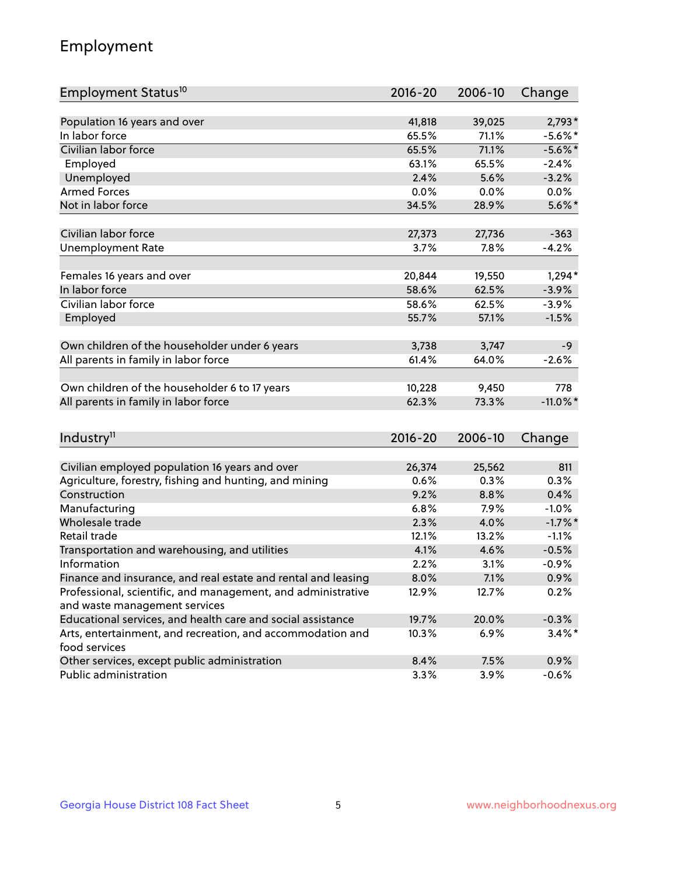## Employment

| Employment Status <sup>10</sup>                                             | $2016 - 20$ | 2006-10 | Change      |
|-----------------------------------------------------------------------------|-------------|---------|-------------|
|                                                                             |             |         |             |
| Population 16 years and over                                                | 41,818      | 39,025  | $2,793*$    |
| In labor force                                                              | 65.5%       | 71.1%   | $-5.6\%$ *  |
| Civilian labor force                                                        | 65.5%       | 71.1%   | $-5.6\%$ *  |
| Employed                                                                    | 63.1%       | 65.5%   | $-2.4%$     |
| Unemployed                                                                  | 2.4%        | 5.6%    | $-3.2%$     |
| <b>Armed Forces</b>                                                         | 0.0%        | 0.0%    | $0.0\%$     |
| Not in labor force                                                          | 34.5%       | 28.9%   | $5.6\%$ *   |
| Civilian labor force                                                        | 27,373      | 27,736  | $-363$      |
| <b>Unemployment Rate</b>                                                    | 3.7%        | 7.8%    | $-4.2%$     |
|                                                                             |             |         |             |
| Females 16 years and over                                                   | 20,844      | 19,550  | $1,294*$    |
| In labor force                                                              | 58.6%       | 62.5%   | $-3.9%$     |
| Civilian labor force                                                        | 58.6%       | 62.5%   | $-3.9%$     |
| Employed                                                                    | 55.7%       | 57.1%   | $-1.5%$     |
| Own children of the householder under 6 years                               | 3,738       | 3,747   | $-9$        |
|                                                                             |             |         | $-2.6%$     |
| All parents in family in labor force                                        | 61.4%       | 64.0%   |             |
| Own children of the householder 6 to 17 years                               | 10,228      | 9,450   | 778         |
| All parents in family in labor force                                        | 62.3%       | 73.3%   | $-11.0\%$ * |
|                                                                             |             |         |             |
| Industry <sup>11</sup>                                                      | $2016 - 20$ | 2006-10 | Change      |
|                                                                             |             |         |             |
| Civilian employed population 16 years and over                              | 26,374      | 25,562  | 811         |
| Agriculture, forestry, fishing and hunting, and mining                      | 0.6%        | 0.3%    | 0.3%        |
| Construction                                                                | 9.2%        | 8.8%    | 0.4%        |
| Manufacturing                                                               | 6.8%        | 7.9%    | $-1.0%$     |
| Wholesale trade                                                             | 2.3%        | 4.0%    | $-1.7%$ *   |
| Retail trade                                                                | 12.1%       | 13.2%   | $-1.1%$     |
| Transportation and warehousing, and utilities                               | 4.1%        | 4.6%    | $-0.5%$     |
| Information                                                                 | 2.2%        | 3.1%    | $-0.9%$     |
| Finance and insurance, and real estate and rental and leasing               | 8.0%        | 7.1%    | $0.9\%$     |
| Professional, scientific, and management, and administrative                | 12.9%       | 12.7%   | 0.2%        |
| and waste management services                                               |             |         |             |
| Educational services, and health care and social assistance                 | 19.7%       | 20.0%   | $-0.3%$     |
| Arts, entertainment, and recreation, and accommodation and<br>food services | 10.3%       | 6.9%    | $3.4\%$ *   |
| Other services, except public administration                                | 8.4%        | 7.5%    | 0.9%        |
| Public administration                                                       | 3.3%        | 3.9%    | $-0.6%$     |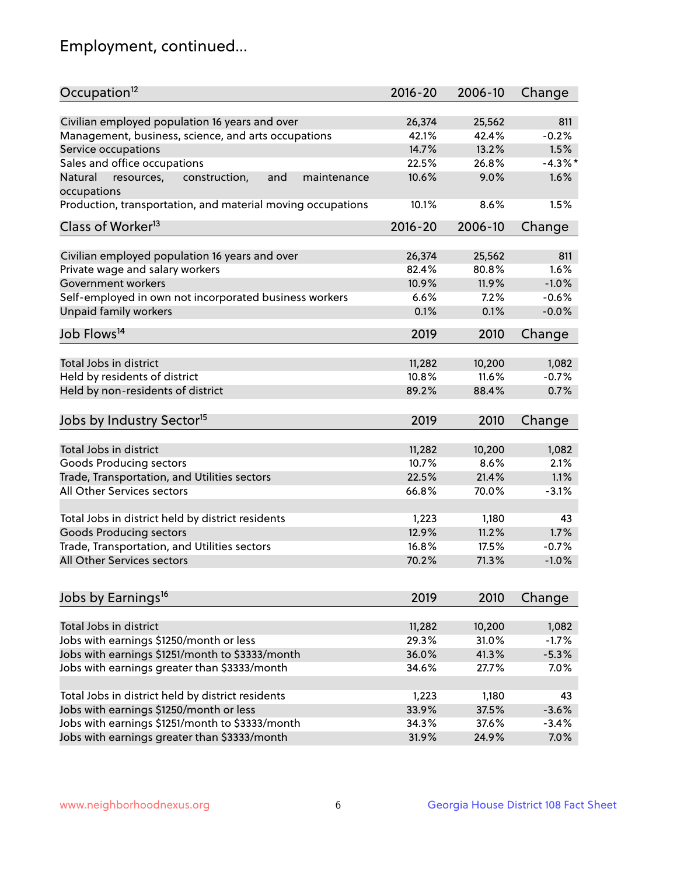## Employment, continued...

| Occupation <sup>12</sup>                                     | $2016 - 20$ | 2006-10 | Change  |
|--------------------------------------------------------------|-------------|---------|---------|
| Civilian employed population 16 years and over               | 26,374      | 25,562  | 811     |
| Management, business, science, and arts occupations          | 42.1%       | 42.4%   | $-0.2%$ |
| Service occupations                                          | 14.7%       | 13.2%   | 1.5%    |
| Sales and office occupations                                 | 22.5%       | 26.8%   | $-4.3%$ |
| Natural<br>and<br>resources,<br>construction,<br>maintenance | 10.6%       | 9.0%    | 1.6%    |
| occupations                                                  |             |         |         |
| Production, transportation, and material moving occupations  | 10.1%       | 8.6%    | 1.5%    |
| Class of Worker <sup>13</sup>                                | $2016 - 20$ | 2006-10 | Change  |
|                                                              |             |         |         |
| Civilian employed population 16 years and over               | 26,374      | 25,562  | 811     |
| Private wage and salary workers                              | 82.4%       | 80.8%   | 1.6%    |
| Government workers                                           | 10.9%       | 11.9%   | $-1.0%$ |
| Self-employed in own not incorporated business workers       | 6.6%        | 7.2%    | $-0.6%$ |
| Unpaid family workers                                        | 0.1%        | 0.1%    | $-0.0%$ |
| Job Flows <sup>14</sup>                                      | 2019        | 2010    | Change  |
|                                                              |             |         |         |
| Total Jobs in district                                       | 11,282      | 10,200  | 1,082   |
| Held by residents of district                                | 10.8%       | 11.6%   | $-0.7%$ |
| Held by non-residents of district                            | 89.2%       | 88.4%   | 0.7%    |
| Jobs by Industry Sector <sup>15</sup>                        | 2019        | 2010    | Change  |
|                                                              |             |         |         |
| Total Jobs in district                                       | 11,282      | 10,200  | 1,082   |
| Goods Producing sectors                                      | 10.7%       | 8.6%    | 2.1%    |
| Trade, Transportation, and Utilities sectors                 | 22.5%       | 21.4%   | 1.1%    |
| All Other Services sectors                                   | 66.8%       | 70.0%   | $-3.1%$ |
|                                                              |             |         |         |
| Total Jobs in district held by district residents            | 1,223       | 1,180   | 43      |
| <b>Goods Producing sectors</b>                               | 12.9%       | 11.2%   | 1.7%    |
| Trade, Transportation, and Utilities sectors                 | 16.8%       | 17.5%   | $-0.7%$ |
| All Other Services sectors                                   | 70.2%       | 71.3%   | $-1.0%$ |
|                                                              |             |         |         |
| Jobs by Earnings <sup>16</sup>                               | 2019        | 2010    | Change  |
|                                                              |             |         |         |
| Total Jobs in district                                       | 11,282      | 10,200  | 1,082   |
| Jobs with earnings \$1250/month or less                      | 29.3%       | 31.0%   | $-1.7%$ |
| Jobs with earnings \$1251/month to \$3333/month              | 36.0%       | 41.3%   | $-5.3%$ |
| Jobs with earnings greater than \$3333/month                 | 34.6%       | 27.7%   | 7.0%    |
| Total Jobs in district held by district residents            | 1,223       | 1,180   | 43      |
| Jobs with earnings \$1250/month or less                      | 33.9%       | 37.5%   | $-3.6%$ |
| Jobs with earnings \$1251/month to \$3333/month              | 34.3%       | 37.6%   | $-3.4%$ |
| Jobs with earnings greater than \$3333/month                 | 31.9%       | 24.9%   | 7.0%    |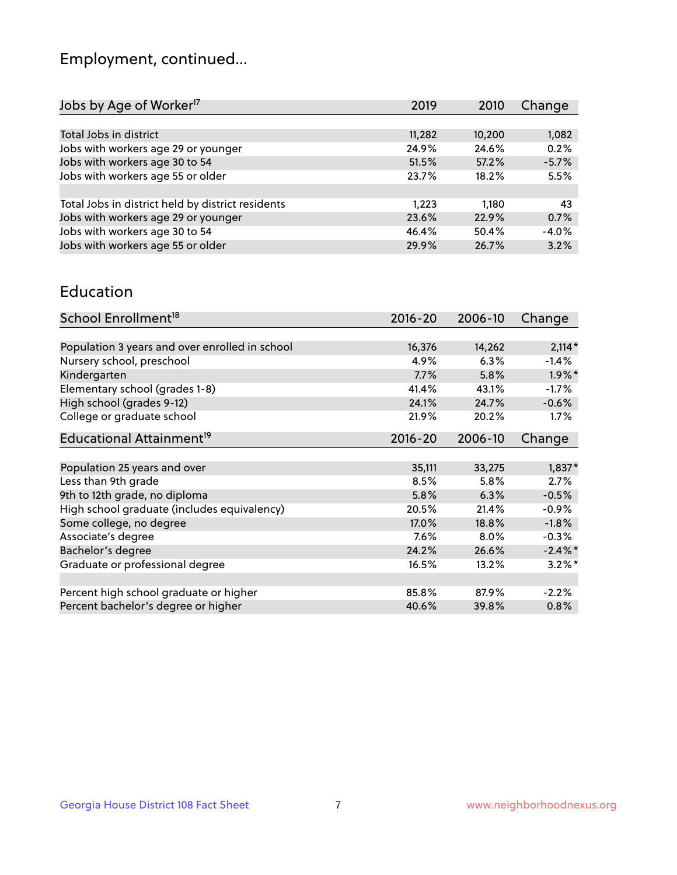## Employment, continued...

| Jobs by Age of Worker <sup>17</sup>               | 2019   | 2010   | Change  |
|---------------------------------------------------|--------|--------|---------|
|                                                   |        |        |         |
| Total Jobs in district                            | 11,282 | 10,200 | 1,082   |
| Jobs with workers age 29 or younger               | 24.9%  | 24.6%  | 0.2%    |
| Jobs with workers age 30 to 54                    | 51.5%  | 57.2%  | $-5.7%$ |
| Jobs with workers age 55 or older                 | 23.7%  | 18.2%  | 5.5%    |
|                                                   |        |        |         |
| Total Jobs in district held by district residents | 1.223  | 1.180  | 43      |
| Jobs with workers age 29 or younger               | 23.6%  | 22.9%  | 0.7%    |
| Jobs with workers age 30 to 54                    | 46.4%  | 50.4%  | $-4.0%$ |
| Jobs with workers age 55 or older                 | 29.9%  | 26.7%  | 3.2%    |
|                                                   |        |        |         |

#### Education

| School Enrollment <sup>18</sup>                | $2016 - 20$ | 2006-10 | Change     |
|------------------------------------------------|-------------|---------|------------|
|                                                |             |         |            |
| Population 3 years and over enrolled in school | 16,376      | 14,262  | $2,114*$   |
| Nursery school, preschool                      | 4.9%        | 6.3%    | $-1.4%$    |
| Kindergarten                                   | 7.7%        | 5.8%    | $1.9\%$ *  |
| Elementary school (grades 1-8)                 | 41.4%       | 43.1%   | $-1.7%$    |
| High school (grades 9-12)                      | 24.1%       | 24.7%   | $-0.6%$    |
| College or graduate school                     | 21.9%       | 20.2%   | $1.7\%$    |
| Educational Attainment <sup>19</sup>           | $2016 - 20$ | 2006-10 | Change     |
|                                                |             |         |            |
| Population 25 years and over                   | 35,111      | 33,275  | $1,837*$   |
| Less than 9th grade                            | 8.5%        | 5.8%    | 2.7%       |
| 9th to 12th grade, no diploma                  | 5.8%        | 6.3%    | $-0.5%$    |
| High school graduate (includes equivalency)    | 20.5%       | 21.4%   | $-0.9%$    |
| Some college, no degree                        | 17.0%       | 18.8%   | $-1.8%$    |
| Associate's degree                             | $7.6\%$     | $8.0\%$ | $-0.3%$    |
| Bachelor's degree                              | 24.2%       | 26.6%   | $-2.4\%$ * |
| Graduate or professional degree                | 16.5%       | 13.2%   | $3.2\%$ *  |
|                                                |             |         |            |
| Percent high school graduate or higher         | 85.8%       | 87.9%   | $-2.2%$    |
| Percent bachelor's degree or higher            | 40.6%       | 39.8%   | 0.8%       |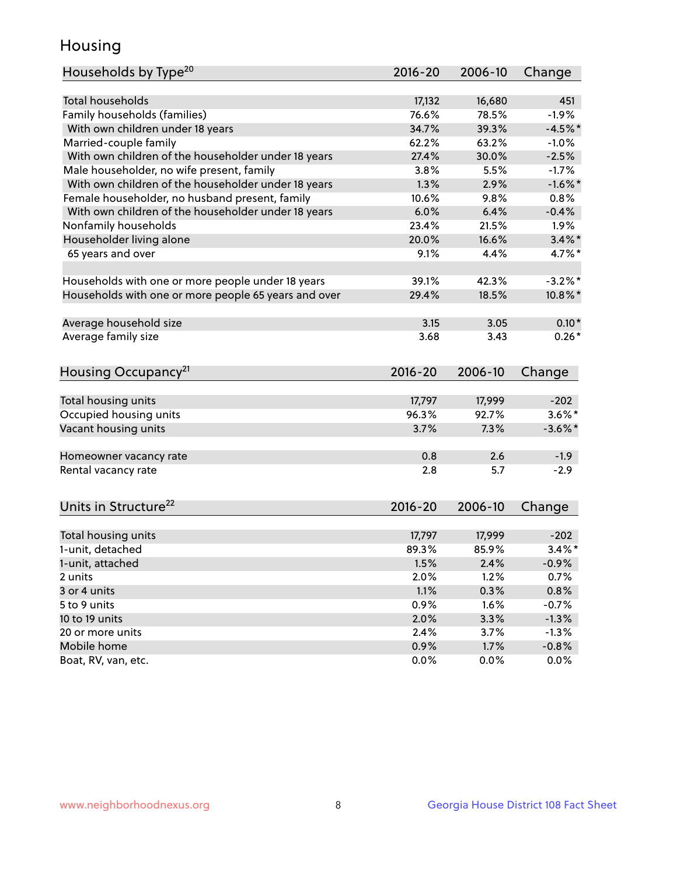## Housing

| Households by Type <sup>20</sup>                     | $2016 - 20$ | 2006-10 | Change     |
|------------------------------------------------------|-------------|---------|------------|
|                                                      |             |         |            |
| Total households                                     | 17,132      | 16,680  | 451        |
| Family households (families)                         | 76.6%       | 78.5%   | $-1.9%$    |
| With own children under 18 years                     | 34.7%       | 39.3%   | $-4.5%$ *  |
| Married-couple family                                | 62.2%       | 63.2%   | $-1.0%$    |
| With own children of the householder under 18 years  | 27.4%       | 30.0%   | $-2.5%$    |
| Male householder, no wife present, family            | 3.8%        | 5.5%    | $-1.7%$    |
| With own children of the householder under 18 years  | 1.3%        | 2.9%    | $-1.6%$ *  |
| Female householder, no husband present, family       | 10.6%       | 9.8%    | 0.8%       |
| With own children of the householder under 18 years  | 6.0%        | 6.4%    | $-0.4%$    |
| Nonfamily households                                 | 23.4%       | 21.5%   | 1.9%       |
| Householder living alone                             | 20.0%       | 16.6%   | $3.4\%$ *  |
| 65 years and over                                    | 9.1%        | 4.4%    | 4.7%*      |
|                                                      |             |         |            |
| Households with one or more people under 18 years    | 39.1%       | 42.3%   | $-3.2\%$ * |
| Households with one or more people 65 years and over | 29.4%       | 18.5%   | $10.8\%$ * |
|                                                      |             |         |            |
| Average household size                               | 3.15        | 3.05    | $0.10*$    |
| Average family size                                  | 3.68        | 3.43    | $0.26*$    |
|                                                      |             |         |            |
|                                                      |             |         |            |
| Housing Occupancy <sup>21</sup>                      | 2016-20     | 2006-10 | Change     |
|                                                      |             |         |            |
| Total housing units                                  | 17,797      | 17,999  | $-202$     |
| Occupied housing units                               | 96.3%       | 92.7%   | $3.6\%$ *  |
| Vacant housing units                                 | 3.7%        | 7.3%    | $-3.6\%$ * |
|                                                      |             |         |            |
| Homeowner vacancy rate                               | 0.8         | 2.6     | $-1.9$     |
| Rental vacancy rate                                  | 2.8         | 5.7     | $-2.9$     |
|                                                      |             |         |            |
| Units in Structure <sup>22</sup>                     | $2016 - 20$ | 2006-10 | Change     |
|                                                      |             |         |            |
| Total housing units                                  | 17,797      | 17,999  | $-202$     |
| 1-unit, detached                                     | 89.3%       | 85.9%   | $3.4\%$ *  |
| 1-unit, attached                                     | 1.5%        | 2.4%    | $-0.9%$    |
| 2 units                                              | 2.0%        | 1.2%    | 0.7%       |
| 3 or 4 units                                         | 1.1%        | 0.3%    | 0.8%       |
| 5 to 9 units                                         | 0.9%        | 1.6%    | $-0.7%$    |
| 10 to 19 units                                       | 2.0%        | 3.3%    | $-1.3%$    |
| 20 or more units                                     | 2.4%        | 3.7%    | $-1.3%$    |
| Mobile home                                          | 0.9%        | 1.7%    | $-0.8%$    |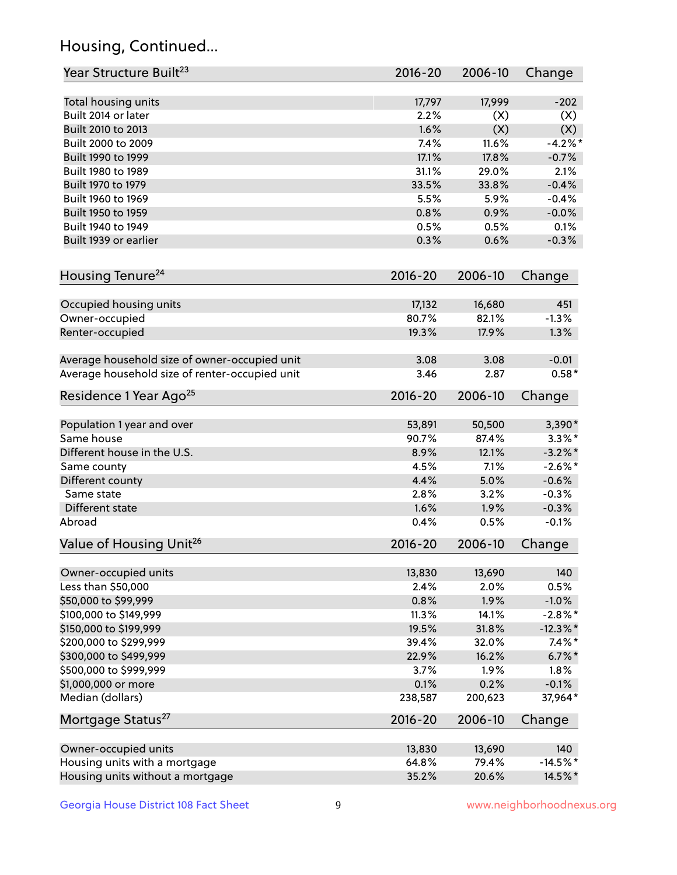## Housing, Continued...

| Year Structure Built <sup>23</sup>             | $2016 - 20$ | 2006-10 | Change      |
|------------------------------------------------|-------------|---------|-------------|
| Total housing units                            | 17,797      | 17,999  | $-202$      |
| Built 2014 or later                            | 2.2%        | (X)     | (X)         |
| Built 2010 to 2013                             | 1.6%        | (X)     | (X)         |
| Built 2000 to 2009                             | 7.4%        | 11.6%   | $-4.2%$ *   |
| Built 1990 to 1999                             | 17.1%       | 17.8%   | $-0.7%$     |
| Built 1980 to 1989                             | 31.1%       | 29.0%   | 2.1%        |
| Built 1970 to 1979                             | 33.5%       | 33.8%   | $-0.4%$     |
| Built 1960 to 1969                             | 5.5%        | 5.9%    | $-0.4%$     |
| Built 1950 to 1959                             | 0.8%        | 0.9%    | $-0.0%$     |
| Built 1940 to 1949                             | 0.5%        | 0.5%    | 0.1%        |
| Built 1939 or earlier                          | 0.3%        | 0.6%    | $-0.3%$     |
| Housing Tenure <sup>24</sup>                   | $2016 - 20$ | 2006-10 | Change      |
| Occupied housing units                         | 17,132      | 16,680  | 451         |
| Owner-occupied                                 | 80.7%       | 82.1%   | $-1.3%$     |
| Renter-occupied                                | 19.3%       | 17.9%   | 1.3%        |
| Average household size of owner-occupied unit  | 3.08        | 3.08    | $-0.01$     |
| Average household size of renter-occupied unit | 3.46        | 2.87    | $0.58*$     |
| Residence 1 Year Ago <sup>25</sup>             | $2016 - 20$ | 2006-10 | Change      |
| Population 1 year and over                     | 53,891      | 50,500  | $3,390*$    |
| Same house                                     | 90.7%       | 87.4%   | $3.3\%$ *   |
| Different house in the U.S.                    | 8.9%        | 12.1%   | $-3.2\%$ *  |
| Same county                                    | 4.5%        | 7.1%    | $-2.6\%$ *  |
| Different county                               | 4.4%        | 5.0%    | $-0.6%$     |
| Same state                                     | 2.8%        | 3.2%    | $-0.3%$     |
| Different state                                | 1.6%        | 1.9%    | $-0.3%$     |
| Abroad                                         | 0.4%        | 0.5%    | $-0.1%$     |
| Value of Housing Unit <sup>26</sup>            | $2016 - 20$ | 2006-10 | Change      |
| Owner-occupied units                           | 13,830      | 13,690  | 140         |
| Less than \$50,000                             | 2.4%        | 2.0%    | 0.5%        |
| \$50,000 to \$99,999                           | 0.8%        | 1.9%    | $-1.0%$     |
| \$100,000 to \$149,999                         | 11.3%       | 14.1%   | $-2.8\%$ *  |
| \$150,000 to \$199,999                         | 19.5%       | 31.8%   | $-12.3\%$ * |
| \$200,000 to \$299,999                         | 39.4%       | 32.0%   | $7.4\%$ *   |
| \$300,000 to \$499,999                         | 22.9%       | 16.2%   | $6.7\%$ *   |
| \$500,000 to \$999,999                         | 3.7%        | 1.9%    | 1.8%        |
| \$1,000,000 or more                            | 0.1%        | 0.2%    | $-0.1%$     |
| Median (dollars)                               | 238,587     | 200,623 | 37,964*     |
| Mortgage Status <sup>27</sup>                  | $2016 - 20$ | 2006-10 | Change      |
| Owner-occupied units                           | 13,830      | 13,690  | 140         |
| Housing units with a mortgage                  | 64.8%       | 79.4%   | $-14.5%$ *  |
| Housing units without a mortgage               | 35.2%       | 20.6%   | 14.5%*      |
|                                                |             |         |             |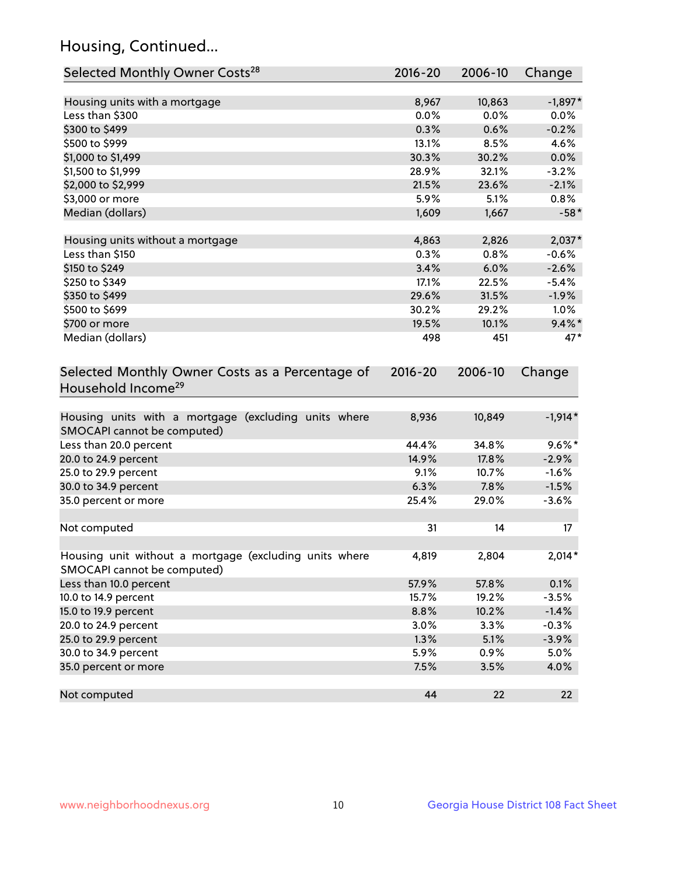## Housing, Continued...

| Selected Monthly Owner Costs <sup>28</sup>                                            | 2016-20 | 2006-10 | Change    |
|---------------------------------------------------------------------------------------|---------|---------|-----------|
| Housing units with a mortgage                                                         | 8,967   | 10,863  | $-1,897*$ |
| Less than \$300                                                                       | 0.0%    | 0.0%    | 0.0%      |
| \$300 to \$499                                                                        | 0.3%    | 0.6%    | $-0.2%$   |
| \$500 to \$999                                                                        | 13.1%   | 8.5%    | 4.6%      |
| \$1,000 to \$1,499                                                                    | 30.3%   | 30.2%   | 0.0%      |
| \$1,500 to \$1,999                                                                    | 28.9%   | 32.1%   | $-3.2%$   |
| \$2,000 to \$2,999                                                                    | 21.5%   | 23.6%   | $-2.1%$   |
| \$3,000 or more                                                                       | 5.9%    | 5.1%    | 0.8%      |
| Median (dollars)                                                                      | 1,609   | 1,667   | $-58*$    |
| Housing units without a mortgage                                                      | 4,863   | 2,826   | $2,037*$  |
| Less than \$150                                                                       | 0.3%    | 0.8%    | $-0.6%$   |
| \$150 to \$249                                                                        | 3.4%    | 6.0%    | $-2.6%$   |
| \$250 to \$349                                                                        | 17.1%   | 22.5%   | $-5.4%$   |
| \$350 to \$499                                                                        | 29.6%   | 31.5%   | $-1.9%$   |
| \$500 to \$699                                                                        | 30.2%   | 29.2%   | 1.0%      |
| \$700 or more                                                                         | 19.5%   | 10.1%   | $9.4\%$ * |
| Median (dollars)                                                                      | 498     | 451     | 47*       |
| Household Income <sup>29</sup>                                                        |         |         |           |
| Housing units with a mortgage (excluding units where<br>SMOCAPI cannot be computed)   | 8,936   | 10,849  | $-1,914*$ |
| Less than 20.0 percent                                                                | 44.4%   | 34.8%   | $9.6\%*$  |
| 20.0 to 24.9 percent                                                                  | 14.9%   | 17.8%   | $-2.9%$   |
| 25.0 to 29.9 percent                                                                  | 9.1%    | 10.7%   | $-1.6%$   |
| 30.0 to 34.9 percent                                                                  | 6.3%    | 7.8%    | $-1.5%$   |
| 35.0 percent or more                                                                  | 25.4%   | 29.0%   | $-3.6%$   |
| Not computed                                                                          | 31      | 14      | 17        |
| Housing unit without a mortgage (excluding units where<br>SMOCAPI cannot be computed) | 4,819   | 2,804   | $2,014*$  |
| Less than 10.0 percent                                                                | 57.9%   | 57.8%   | 0.1%      |
| 10.0 to 14.9 percent                                                                  | 15.7%   | 19.2%   | $-3.5%$   |
| 15.0 to 19.9 percent                                                                  | 8.8%    | 10.2%   | $-1.4%$   |
| 20.0 to 24.9 percent                                                                  | 3.0%    | 3.3%    | $-0.3%$   |
| 25.0 to 29.9 percent                                                                  | 1.3%    | 5.1%    | $-3.9%$   |
| 30.0 to 34.9 percent                                                                  | 5.9%    | 0.9%    | 5.0%      |
| 35.0 percent or more                                                                  | 7.5%    | 3.5%    | 4.0%      |
| Not computed                                                                          | 44      | 22      | 22        |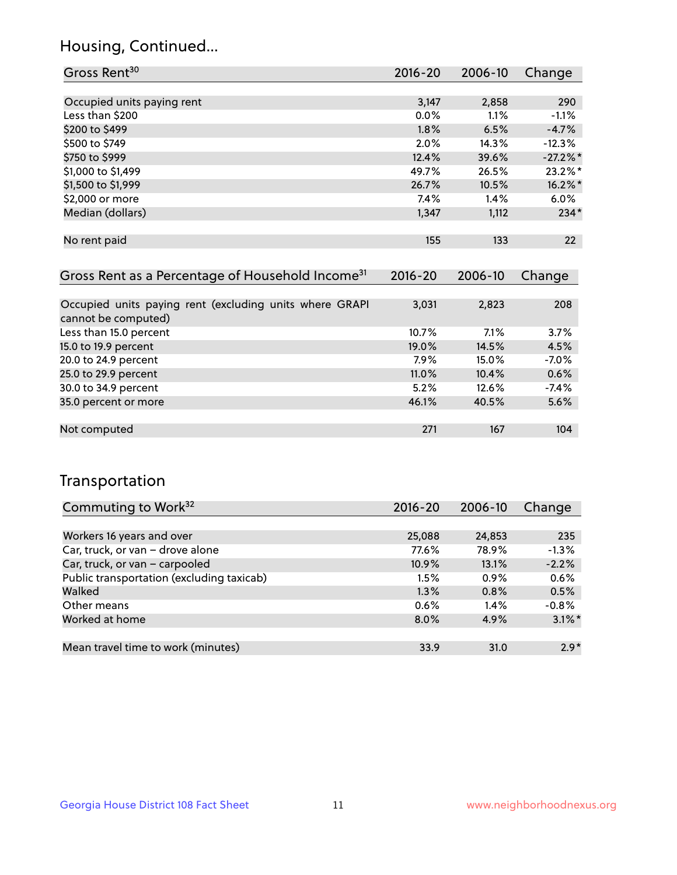## Housing, Continued...

| Gross Rent <sup>30</sup>   | 2016-20 | 2006-10 | Change   |
|----------------------------|---------|---------|----------|
|                            |         |         |          |
| Occupied units paying rent | 3,147   | 2,858   | 290      |
| Less than \$200            | $0.0\%$ | 1.1%    | $-1.1%$  |
| \$200 to \$499             | 1.8%    | 6.5%    | $-4.7%$  |
| \$500 to \$749             | 2.0%    | 14.3%   | $-12.3%$ |
| \$750 to \$999             | 12.4%   | 39.6%   | $-27.2%$ |
| \$1,000 to \$1,499         | 49.7%   | 26.5%   | 23.2%*   |
| \$1,500 to \$1,999         | 26.7%   | 10.5%   | 16.2%*   |
| \$2,000 or more            | 7.4%    | 1.4%    | 6.0%     |
| Median (dollars)           | 1,347   | 1,112   | $234*$   |
|                            |         |         |          |
| No rent paid               | 155     | 133     | 22       |

| Gross Rent as a Percentage of Household Income <sup>31</sup>                   | $2016 - 20$ | 2006-10 | Change  |
|--------------------------------------------------------------------------------|-------------|---------|---------|
|                                                                                |             |         |         |
| Occupied units paying rent (excluding units where GRAPI<br>cannot be computed) | 3,031       | 2,823   | 208     |
| Less than 15.0 percent                                                         | 10.7%       | 7.1%    | 3.7%    |
| 15.0 to 19.9 percent                                                           | 19.0%       | 14.5%   | 4.5%    |
| 20.0 to 24.9 percent                                                           | $7.9\%$     | 15.0%   | $-7.0%$ |
| 25.0 to 29.9 percent                                                           | 11.0%       | 10.4%   | 0.6%    |
| 30.0 to 34.9 percent                                                           | 5.2%        | 12.6%   | $-7.4%$ |
| 35.0 percent or more                                                           | 46.1%       | 40.5%   | 5.6%    |
|                                                                                |             |         |         |
| Not computed                                                                   | 271         | 167     | 104     |

## Transportation

| Commuting to Work <sup>32</sup>           | $2016 - 20$ | 2006-10 | Change    |
|-------------------------------------------|-------------|---------|-----------|
|                                           |             |         |           |
| Workers 16 years and over                 | 25,088      | 24,853  | 235       |
| Car, truck, or van - drove alone          | 77.6%       | 78.9%   | $-1.3%$   |
| Car, truck, or van - carpooled            | 10.9%       | 13.1%   | $-2.2%$   |
| Public transportation (excluding taxicab) | 1.5%        | $0.9\%$ | 0.6%      |
| Walked                                    | 1.3%        | 0.8%    | 0.5%      |
| Other means                               | $0.6\%$     | $1.4\%$ | $-0.8%$   |
| Worked at home                            | $8.0\%$     | 4.9%    | $3.1\%$ * |
|                                           |             |         |           |
| Mean travel time to work (minutes)        | 33.9        | 31.0    | $2.9*$    |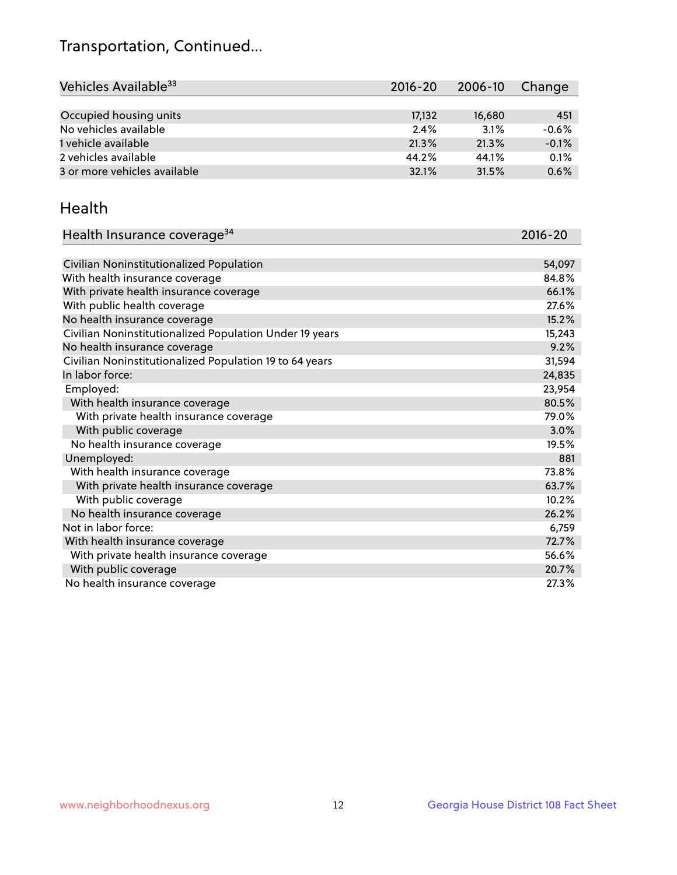## Transportation, Continued...

| Vehicles Available <sup>33</sup> | 2016-20 | 2006-10 | Change  |
|----------------------------------|---------|---------|---------|
|                                  |         |         |         |
| Occupied housing units           | 17.132  | 16,680  | 451     |
| No vehicles available            | 2.4%    | 3.1%    | $-0.6%$ |
| 1 vehicle available              | 21.3%   | 21.3%   | $-0.1%$ |
| 2 vehicles available             | 44.2%   | 44.1%   | 0.1%    |
| 3 or more vehicles available     | 32.1%   | 31.5%   | 0.6%    |

#### Health

| Health Insurance coverage <sup>34</sup>                 | 2016-20 |
|---------------------------------------------------------|---------|
|                                                         |         |
| Civilian Noninstitutionalized Population                | 54,097  |
| With health insurance coverage                          | 84.8%   |
| With private health insurance coverage                  | 66.1%   |
| With public health coverage                             | 27.6%   |
| No health insurance coverage                            | 15.2%   |
| Civilian Noninstitutionalized Population Under 19 years | 15,243  |
| No health insurance coverage                            | 9.2%    |
| Civilian Noninstitutionalized Population 19 to 64 years | 31,594  |
| In labor force:                                         | 24,835  |
| Employed:                                               | 23,954  |
| With health insurance coverage                          | 80.5%   |
| With private health insurance coverage                  | 79.0%   |
| With public coverage                                    | 3.0%    |
| No health insurance coverage                            | 19.5%   |
| Unemployed:                                             | 881     |
| With health insurance coverage                          | 73.8%   |
| With private health insurance coverage                  | 63.7%   |
| With public coverage                                    | 10.2%   |
| No health insurance coverage                            | 26.2%   |
| Not in labor force:                                     | 6,759   |
| With health insurance coverage                          | 72.7%   |
| With private health insurance coverage                  | 56.6%   |
| With public coverage                                    | 20.7%   |
| No health insurance coverage                            | 27.3%   |